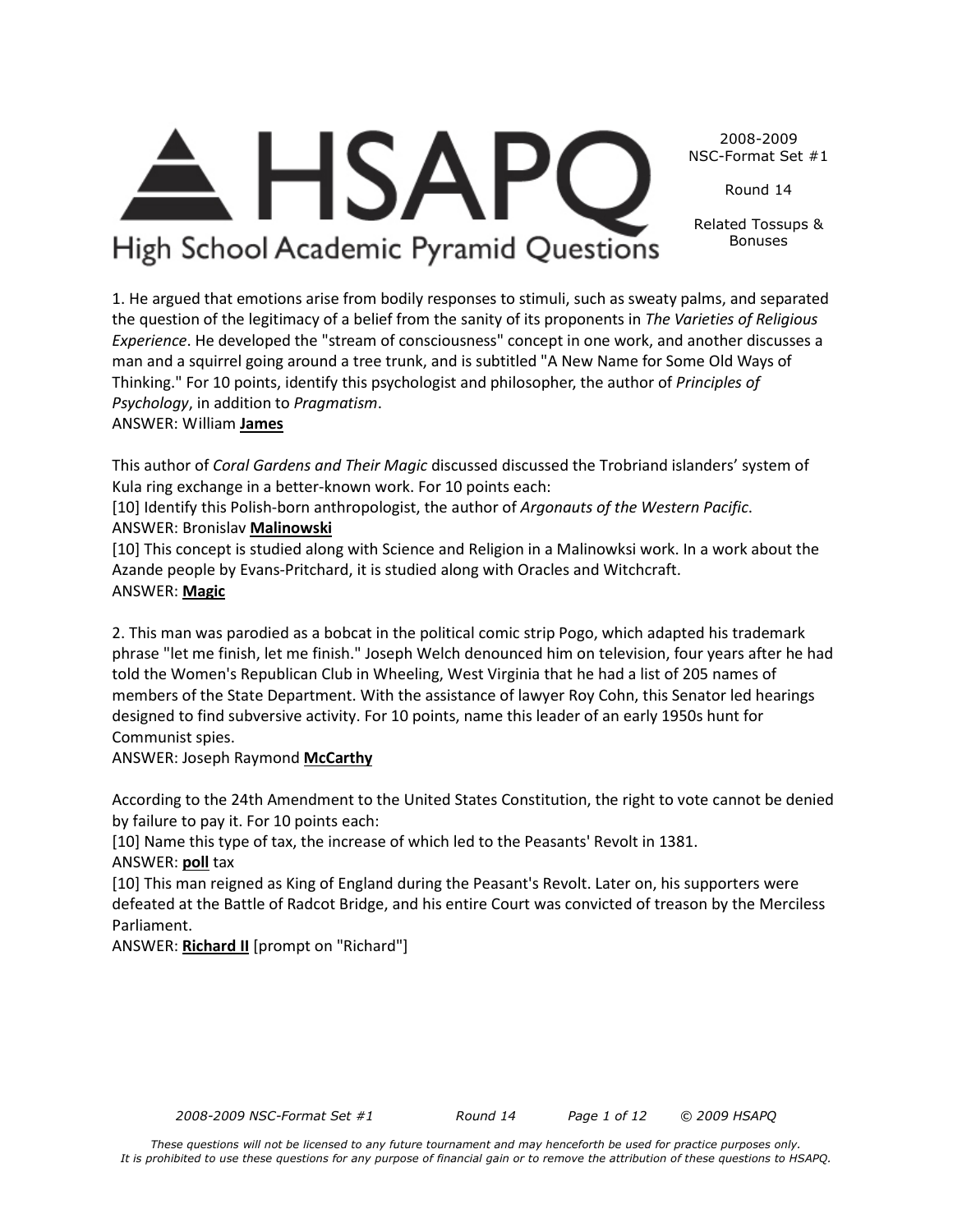*These questions will not be licensed to any future tournament and may henceforth be used for practice purposes only. It is prohibited to use these questions for any purpose of financial gain or to remove the attribution of these questions to HSAPQ.*

2008-2009 NSC-Format Set #1

Round 14

Related Tossups & Bonuses

High School Academic Pyramid Questions

**HSAP** 

1. He argued that emotions arise from bodily responses to stimuli, such as sweaty palms, and separated the question of the legitimacy of a belief from the sanity of its proponents in *The Varieties of Religious Experience*. He developed the "stream of consciousness" concept in one work, and another discusses a man and a squirrel going around a tree trunk, and is subtitled "A New Name for Some Old Ways of Thinking." For 10 points, identify this psychologist and philosopher, the author of *Principles of Psychology*, in addition to *Pragmatism*.

### ANSWER: William **James**

This author of *Coral Gardens and Their Magic* discussed discussed the Trobriand islanders' system of Kula ring exchange in a better-known work. For 10 points each:

[10] Identify this Polish-born anthropologist, the author of *Argonauts of the Western Pacific*. ANSWER: Bronislav **Malinowski**

[10] This concept is studied along with Science and Religion in a Malinowksi work. In a work about the Azande people by Evans-Pritchard, it is studied along with Oracles and Witchcraft. ANSWER: **Magic**

2. This man was parodied as a bobcat in the political comic strip Pogo, which adapted his trademark phrase "let me finish, let me finish." Joseph Welch denounced him on television, four years after he had told the Women's Republican Club in Wheeling, West Virginia that he had a list of 205 names of members of the State Department. With the assistance of lawyer Roy Cohn, this Senator led hearings designed to find subversive activity. For 10 points, name this leader of an early 1950s hunt for Communist spies.

ANSWER: Joseph Raymond **McCarthy**

According to the 24th Amendment to the United States Constitution, the right to vote cannot be denied by failure to pay it. For 10 points each:

[10] Name this type of tax, the increase of which led to the Peasants' Revolt in 1381. ANSWER: **poll** tax

[10] This man reigned as King of England during the Peasant's Revolt. Later on, his supporters were defeated at the Battle of Radcot Bridge, and his entire Court was convicted of treason by the Merciless Parliament.

ANSWER: **Richard II** [prompt on "Richard"]

*2008-2009 NSC-Format Set #1 Round 14 Page 1 of 12 © 2009 HSAPQ*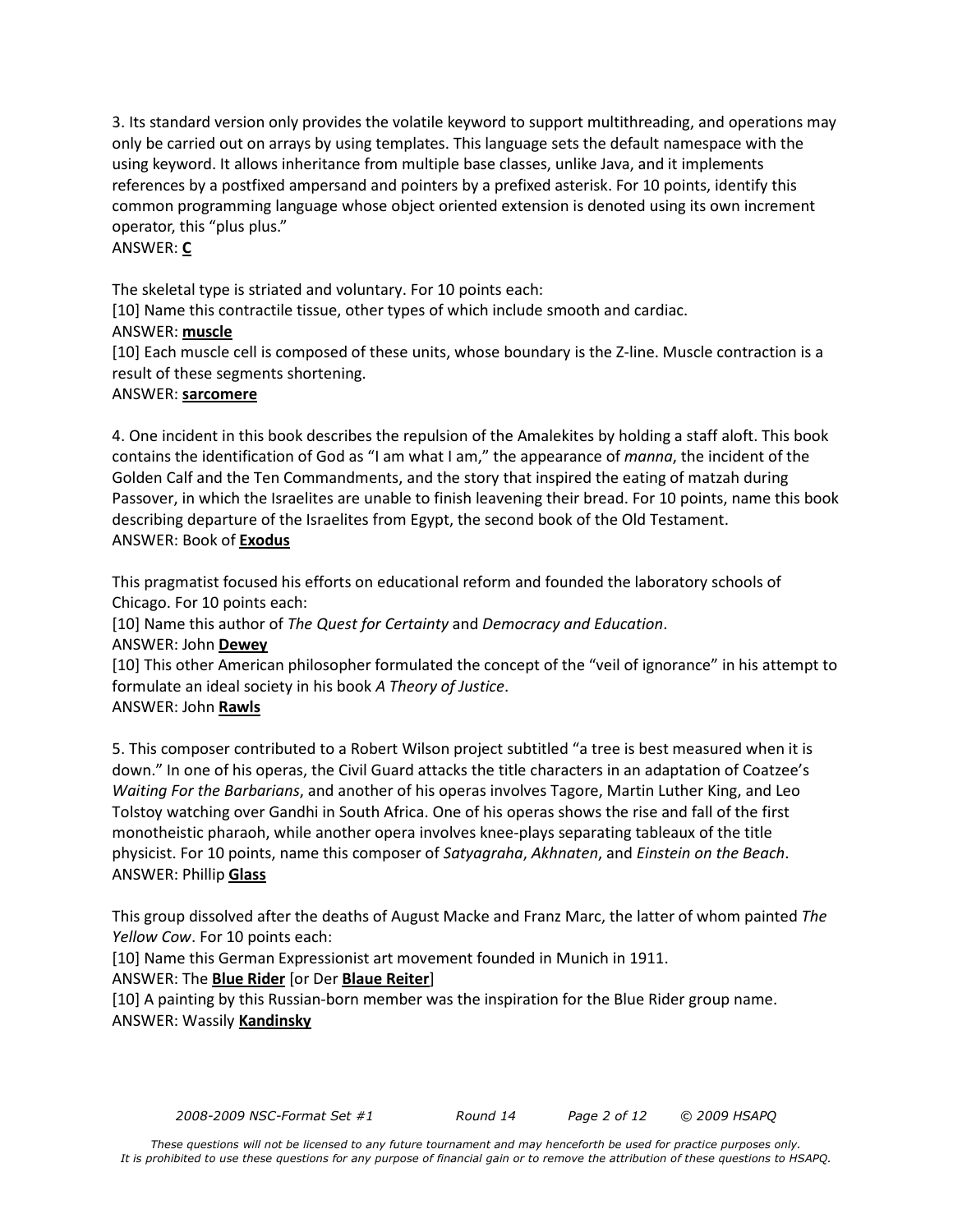3. Its standard version only provides the volatile keyword to support multithreading, and operations may only be carried out on arrays by using templates. This language sets the default namespace with the using keyword. It allows inheritance from multiple base classes, unlike Java, and it implements references by a postfixed ampersand and pointers by a prefixed asterisk. For 10 points, identify this common programming language whose object oriented extension is denoted using its own increment operator, this "plus plus."

#### ANSWER: **C**

The skeletal type is striated and voluntary. For 10 points each:

[10] Name this contractile tissue, other types of which include smooth and cardiac.

#### ANSWER: **muscle**

[10] Each muscle cell is composed of these units, whose boundary is the Z-line. Muscle contraction is a result of these segments shortening.

#### ANSWER: **sarcomere**

4. One incident in this book describes the repulsion of the Amalekites by holding a staff aloft. This book contains the identification of God as "I am what I am," the appearance of *manna*, the incident of the Golden Calf and the Ten Commandments, and the story that inspired the eating of matzah during Passover, in which the Israelites are unable to finish leavening their bread. For 10 points, name this book describing departure of the Israelites from Egypt, the second book of the Old Testament. ANSWER: Book of **Exodus**

This pragmatist focused his efforts on educational reform and founded the laboratory schools of Chicago. For 10 points each:

[10] Name this author of *The Quest for Certainty* and *Democracy and Education*.

ANSWER: John **Dewey**

[10] This other American philosopher formulated the concept of the "veil of ignorance" in his attempt to formulate an ideal society in his book *A Theory of Justice*.

ANSWER: John **Rawls**

5. This composer contributed to a Robert Wilson project subtitled "a tree is best measured when it is down." In one of his operas, the Civil Guard attacks the title characters in an adaptation of Coatzee's *Waiting For the Barbarians*, and another of his operas involves Tagore, Martin Luther King, and Leo Tolstoy watching over Gandhi in South Africa. One of his operas shows the rise and fall of the first monotheistic pharaoh, while another opera involves knee-plays separating tableaux of the title physicist. For 10 points, name this composer of *Satyagraha*, *Akhnaten*, and *Einstein on the Beach*. ANSWER: Phillip **Glass**

This group dissolved after the deaths of August Macke and Franz Marc, the latter of whom painted *The Yellow Cow*. For 10 points each:

[10] Name this German Expressionist art movement founded in Munich in 1911.

ANSWER: The **Blue Rider** [or Der **Blaue Reiter**]

[10] A painting by this Russian-born member was the inspiration for the Blue Rider group name. ANSWER: Wassily **Kandinsky**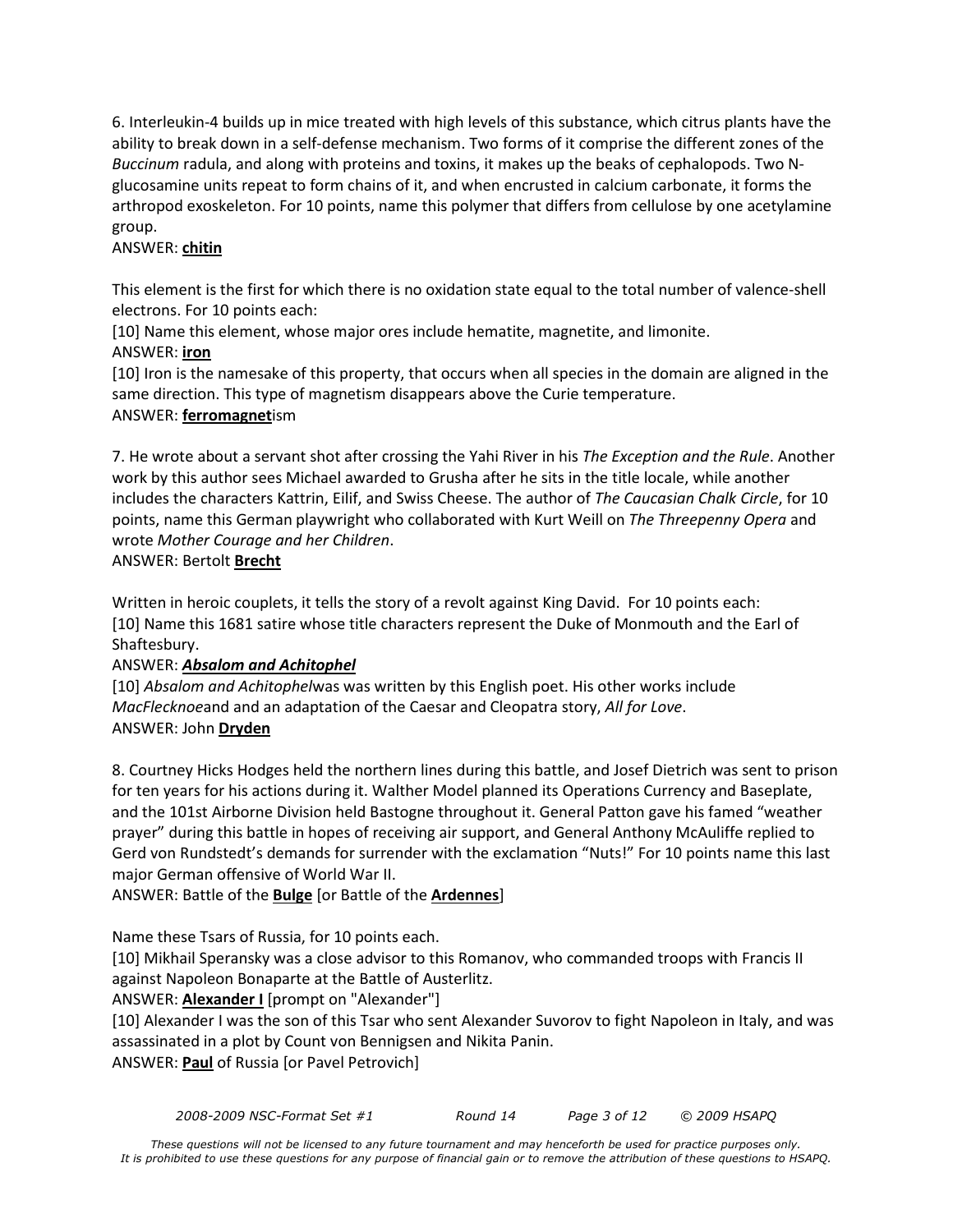6. Interleukin-4 builds up in mice treated with high levels of this substance, which citrus plants have the ability to break down in a self-defense mechanism. Two forms of it comprise the different zones of the *Buccinum* radula, and along with proteins and toxins, it makes up the beaks of cephalopods. Two Nglucosamine units repeat to form chains of it, and when encrusted in calcium carbonate, it forms the arthropod exoskeleton. For 10 points, name this polymer that differs from cellulose by one acetylamine group.

#### ANSWER: **chitin**

This element is the first for which there is no oxidation state equal to the total number of valence-shell electrons. For 10 points each:

[10] Name this element, whose major ores include hematite, magnetite, and limonite.

#### ANSWER: **iron**

[10] Iron is the namesake of this property, that occurs when all species in the domain are aligned in the same direction. This type of magnetism disappears above the Curie temperature. ANSWER: **ferromagnet**ism

7. He wrote about a servant shot after crossing the Yahi River in his *The Exception and the Rule*. Another work by this author sees Michael awarded to Grusha after he sits in the title locale, while another includes the characters Kattrin, Eilif, and Swiss Cheese. The author of *The Caucasian Chalk Circle*, for 10 points, name this German playwright who collaborated with Kurt Weill on *The Threepenny Opera* and wrote *Mother Courage and her Children*.

#### ANSWER: Bertolt **Brecht**

Written in heroic couplets, it tells the story of a revolt against King David. For 10 points each: [10] Name this 1681 satire whose title characters represent the Duke of Monmouth and the Earl of Shaftesbury.

### ANSWER: *Absalom and Achitophel*

[10] *Absalom and Achitophel*was was written by this English poet. His other works include *MacFlecknoe*and and an adaptation of the Caesar and Cleopatra story, *All for Love*. ANSWER: John **Dryden**

8. Courtney Hicks Hodges held the northern lines during this battle, and Josef Dietrich was sent to prison for ten years for his actions during it. Walther Model planned its Operations Currency and Baseplate, and the 101st Airborne Division held Bastogne throughout it. General Patton gave his famed "weather prayer" during this battle in hopes of receiving air support, and General Anthony McAuliffe replied to Gerd von Rundstedt's demands for surrender with the exclamation "Nuts!" For 10 points name this last major German offensive of World War II.

ANSWER: Battle of the **Bulge** [or Battle of the **Ardennes**]

Name these Tsars of Russia, for 10 points each.

[10] Mikhail Speransky was a close advisor to this Romanov, who commanded troops with Francis II against Napoleon Bonaparte at the Battle of Austerlitz.

### ANSWER: **Alexander I** [prompt on "Alexander"]

[10] Alexander I was the son of this Tsar who sent Alexander Suvorov to fight Napoleon in Italy, and was assassinated in a plot by Count von Bennigsen and Nikita Panin. ANSWER: **Paul** of Russia [or Pavel Petrovich]

*2008-2009 NSC-Format Set #1 Round 14 Page 3 of 12 © 2009 HSAPQ*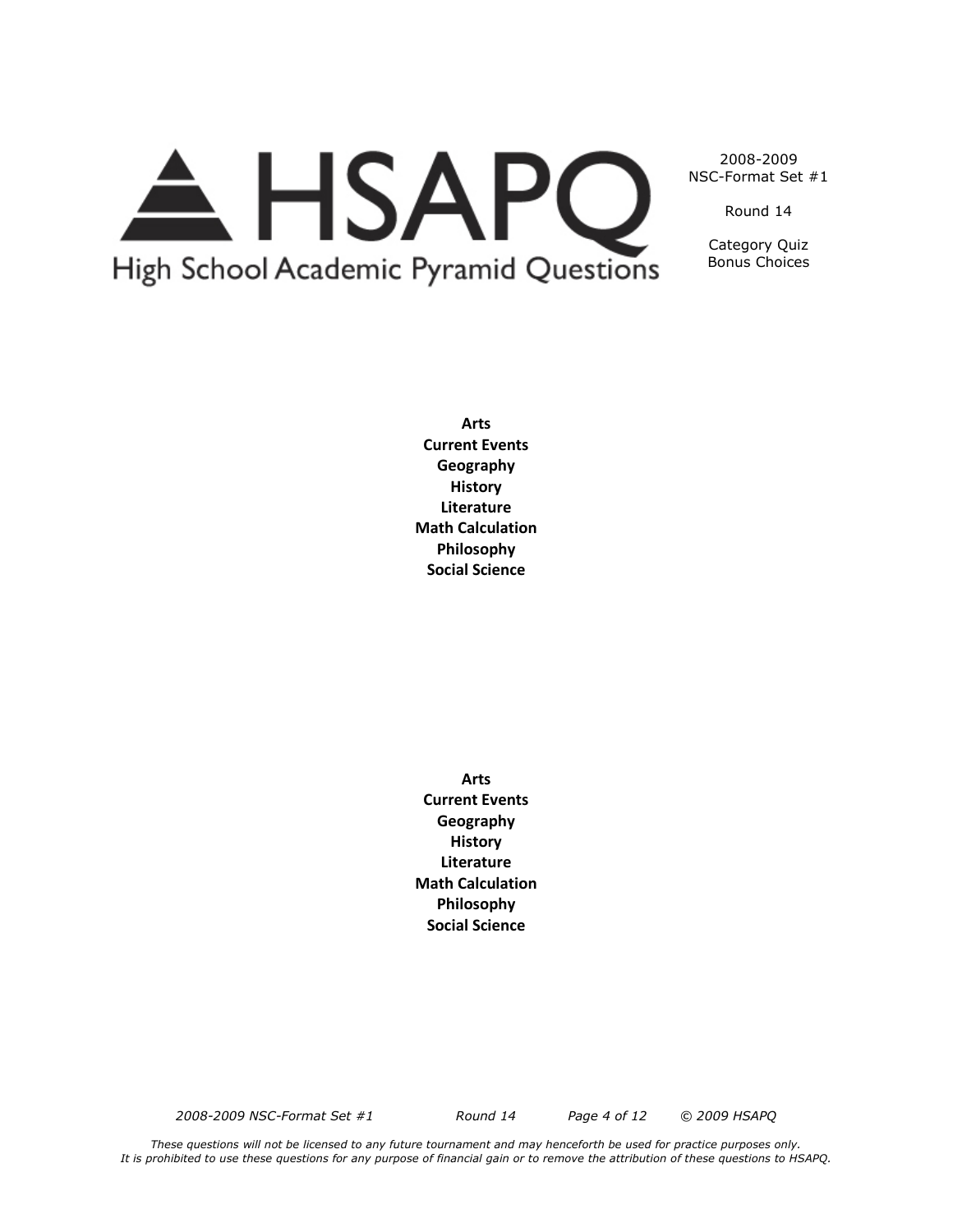# A HSAPQ High School Academic Pyramid Questions

2008-2009 NSC-Format Set #1

Round 14

Category Quiz Bonus Choices

**Arts Current Events Geography History Literature Math Calculation Philosophy Social Science**

**Arts Current Events Geography History Literature Math Calculation Philosophy Social Science**

*2008-2009 NSC-Format Set #1 Round 14 Page 4 of 12 © 2009 HSAPQ*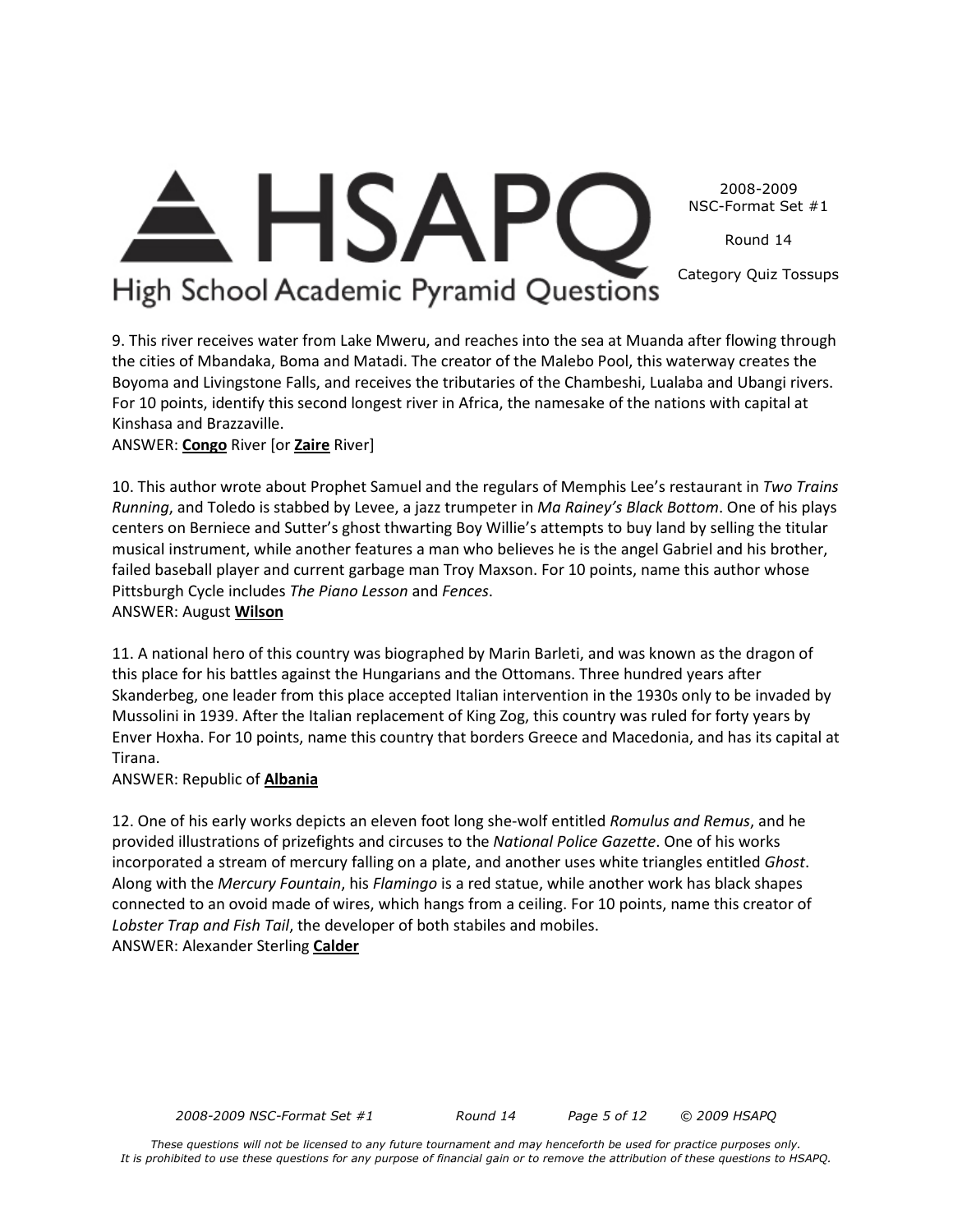2008-2009 NSC-Format Set #1

Round 14

Category Quiz Tossups

# **E** HSAP High School Academic Pyramid Questions

9. This river receives water from Lake Mweru, and reaches into the sea at Muanda after flowing through the cities of Mbandaka, Boma and Matadi. The creator of the Malebo Pool, this waterway creates the Boyoma and Livingstone Falls, and receives the tributaries of the Chambeshi, Lualaba and Ubangi rivers. For 10 points, identify this second longest river in Africa, the namesake of the nations with capital at Kinshasa and Brazzaville.

## ANSWER: **Congo** River [or **Zaire** River]

10. This author wrote about Prophet Samuel and the regulars of Memphis Lee's restaurant in *Two Trains Running*, and Toledo is stabbed by Levee, a jazz trumpeter in *Ma Rainey's Black Bottom*. One of his plays centers on Berniece and Sutter's ghost thwarting Boy Willie's attempts to buy land by selling the titular musical instrument, while another features a man who believes he is the angel Gabriel and his brother, failed baseball player and current garbage man Troy Maxson. For 10 points, name this author whose Pittsburgh Cycle includes *The Piano Lesson* and *Fences*. ANSWER: August **Wilson**

11. A national hero of this country was biographed by Marin Barleti, and was known as the dragon of this place for his battles against the Hungarians and the Ottomans. Three hundred years after Skanderbeg, one leader from this place accepted Italian intervention in the 1930s only to be invaded by Mussolini in 1939. After the Italian replacement of King Zog, this country was ruled for forty years by Enver Hoxha. For 10 points, name this country that borders Greece and Macedonia, and has its capital at Tirana.

ANSWER: Republic of **Albania**

12. One of his early works depicts an eleven foot long she-wolf entitled *Romulus and Remus*, and he provided illustrations of prizefights and circuses to the *National Police Gazette*. One of his works incorporated a stream of mercury falling on a plate, and another uses white triangles entitled *Ghost*. Along with the *Mercury Fountain*, his *Flamingo* is a red statue, while another work has black shapes connected to an ovoid made of wires, which hangs from a ceiling. For 10 points, name this creator of *Lobster Trap and Fish Tail*, the developer of both stabiles and mobiles. ANSWER: Alexander Sterling **Calder**

*2008-2009 NSC-Format Set #1 Round 14 Page 5 of 12 © 2009 HSAPQ*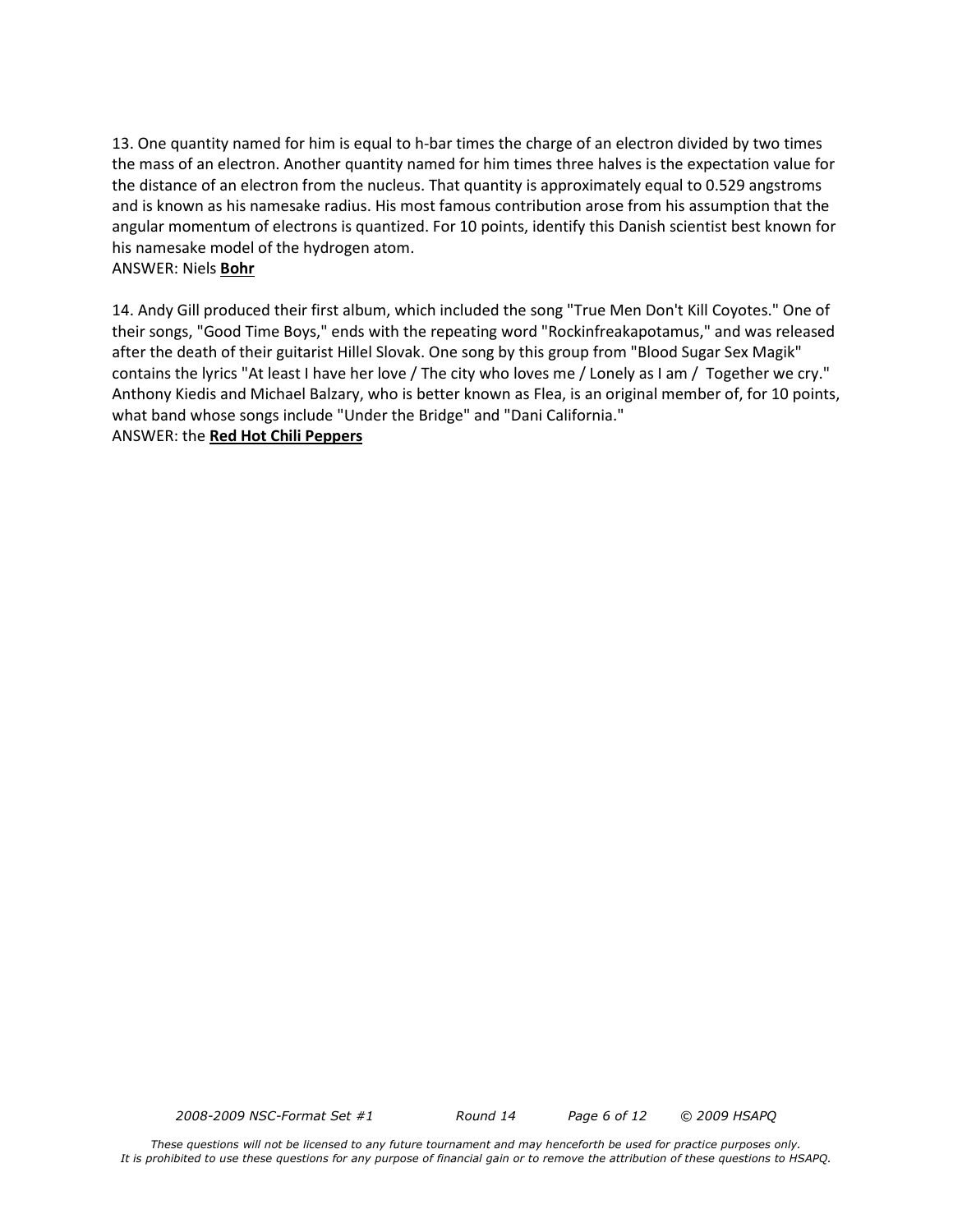13. One quantity named for him is equal to h-bar times the charge of an electron divided by two times the mass of an electron. Another quantity named for him times three halves is the expectation value for the distance of an electron from the nucleus. That quantity is approximately equal to 0.529 angstroms and is known as his namesake radius. His most famous contribution arose from his assumption that the angular momentum of electrons is quantized. For 10 points, identify this Danish scientist best known for his namesake model of the hydrogen atom.

#### ANSWER: Niels **Bohr**

14. Andy Gill produced their first album, which included the song "True Men Don't Kill Coyotes." One of their songs, "Good Time Boys," ends with the repeating word "Rockinfreakapotamus," and was released after the death of their guitarist Hillel Slovak. One song by this group from "Blood Sugar Sex Magik" contains the lyrics "At least I have her love / The city who loves me / Lonely as I am / Together we cry." Anthony Kiedis and Michael Balzary, who is better known as Flea, is an original member of, for 10 points, what band whose songs include "Under the Bridge" and "Dani California."

ANSWER: the **Red Hot Chili Peppers**

*2008-2009 NSC-Format Set #1 Round 14 Page 6 of 12 © 2009 HSAPQ*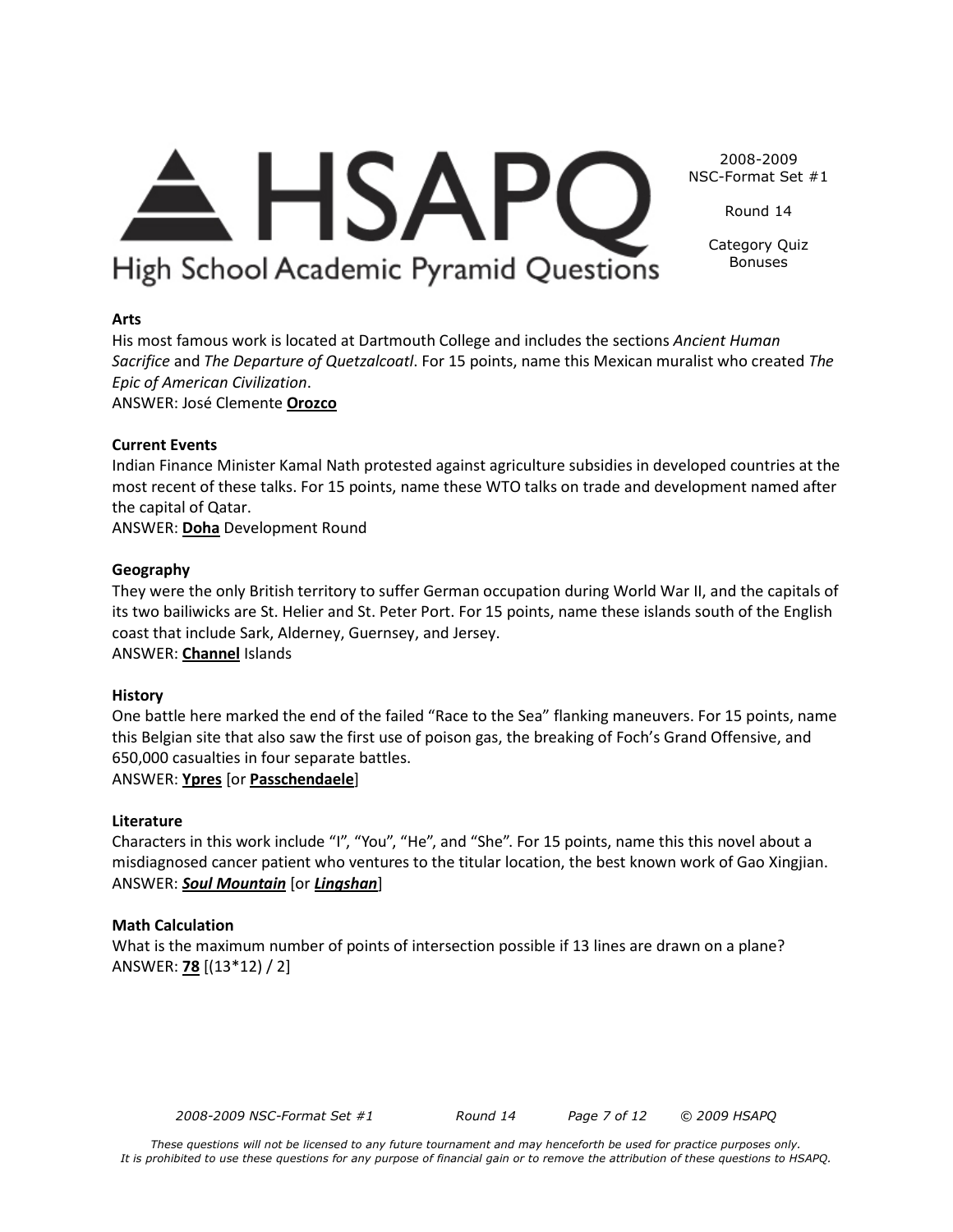# $\triangle$  HSAPC High School Academic Pyramid Questions

Round 14

2008-2009 NSC-Format Set #1

> Category Quiz Bonuses

### **Arts**

His most famous work is located at Dartmouth College and includes the sections *Ancient Human Sacrifice* and *The Departure of Quetzalcoatl*. For 15 points, name this Mexican muralist who created *The Epic of American Civilization*.

ANSWER: José Clemente **Orozco**

#### **Current Events**

Indian Finance Minister Kamal Nath protested against agriculture subsidies in developed countries at the most recent of these talks. For 15 points, name these WTO talks on trade and development named after the capital of Qatar.

ANSWER: **Doha** Development Round

#### **Geography**

They were the only British territory to suffer German occupation during World War II, and the capitals of its two bailiwicks are St. Helier and St. Peter Port. For 15 points, name these islands south of the English coast that include Sark, Alderney, Guernsey, and Jersey. ANSWER: **Channel** Islands

#### **History**

One battle here marked the end of the failed "Race to the Sea" flanking maneuvers. For 15 points, name this Belgian site that also saw the first use of poison gas, the breaking of Foch's Grand Offensive, and 650,000 casualties in four separate battles.

ANSWER: **Ypres** [or **Passchendaele**]

### **Literature**

Characters in this work include "I", "You", "He", and "She". For 15 points, name this this novel about a misdiagnosed cancer patient who ventures to the titular location, the best known work of Gao Xingjian. ANSWER: *Soul Mountain* [or *Lingshan*]

#### **Math Calculation**

What is the maximum number of points of intersection possible if 13 lines are drawn on a plane? ANSWER: **78** [(13\*12) / 2]

*2008-2009 NSC-Format Set #1 Round 14 Page 7 of 12 © 2009 HSAPQ*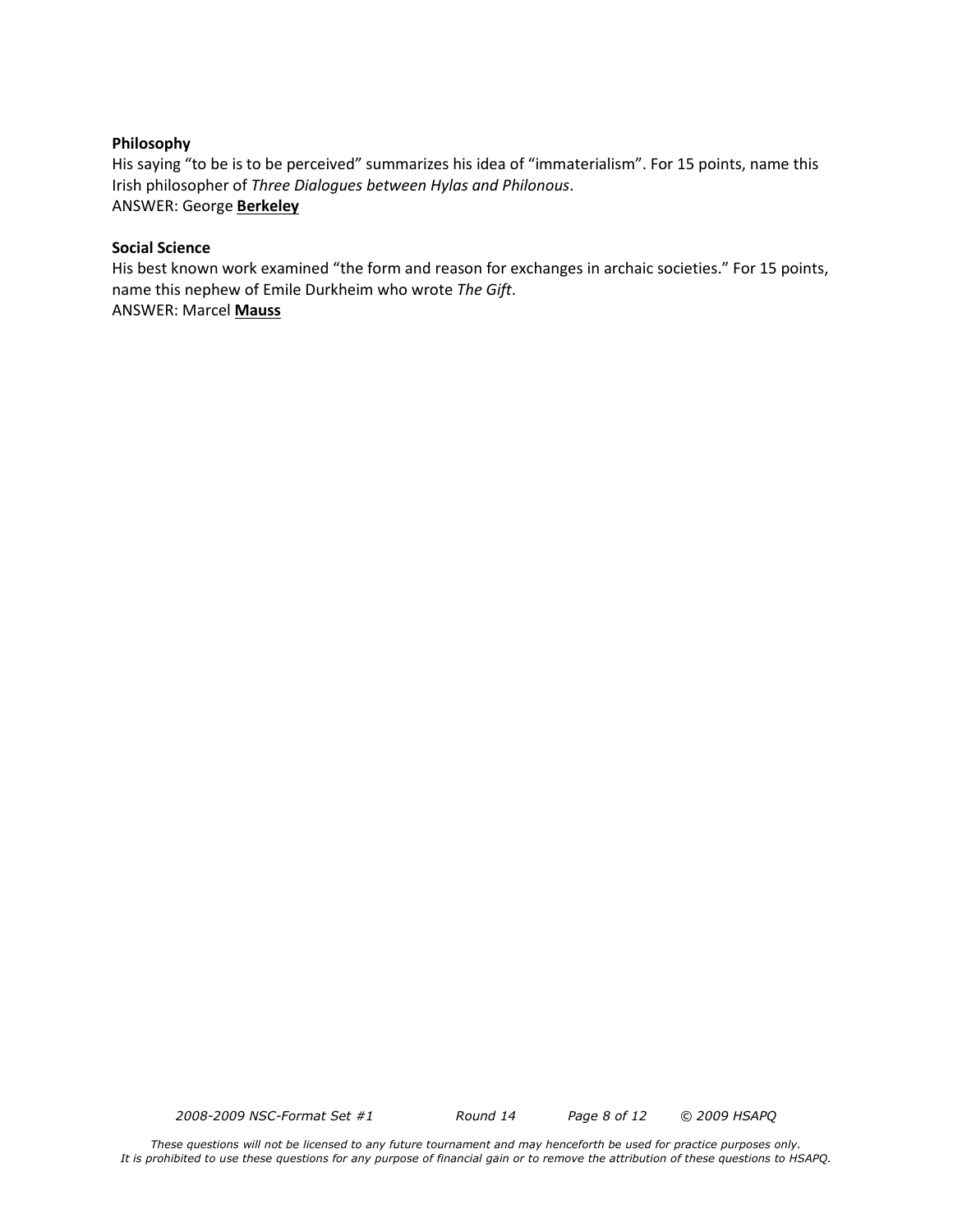#### **Philosophy**

His saying "to be is to be perceived" summarizes his idea of "immaterialism". For 15 points, name this Irish philosopher of *Three Dialogues between Hylas and Philonous*. ANSWER: George **Berkeley**

#### **Social Science**

His best known work examined "the form and reason for exchanges in archaic societies." For 15 points, name this nephew of Emile Durkheim who wrote *The Gift*. ANSWER: Marcel **Mauss**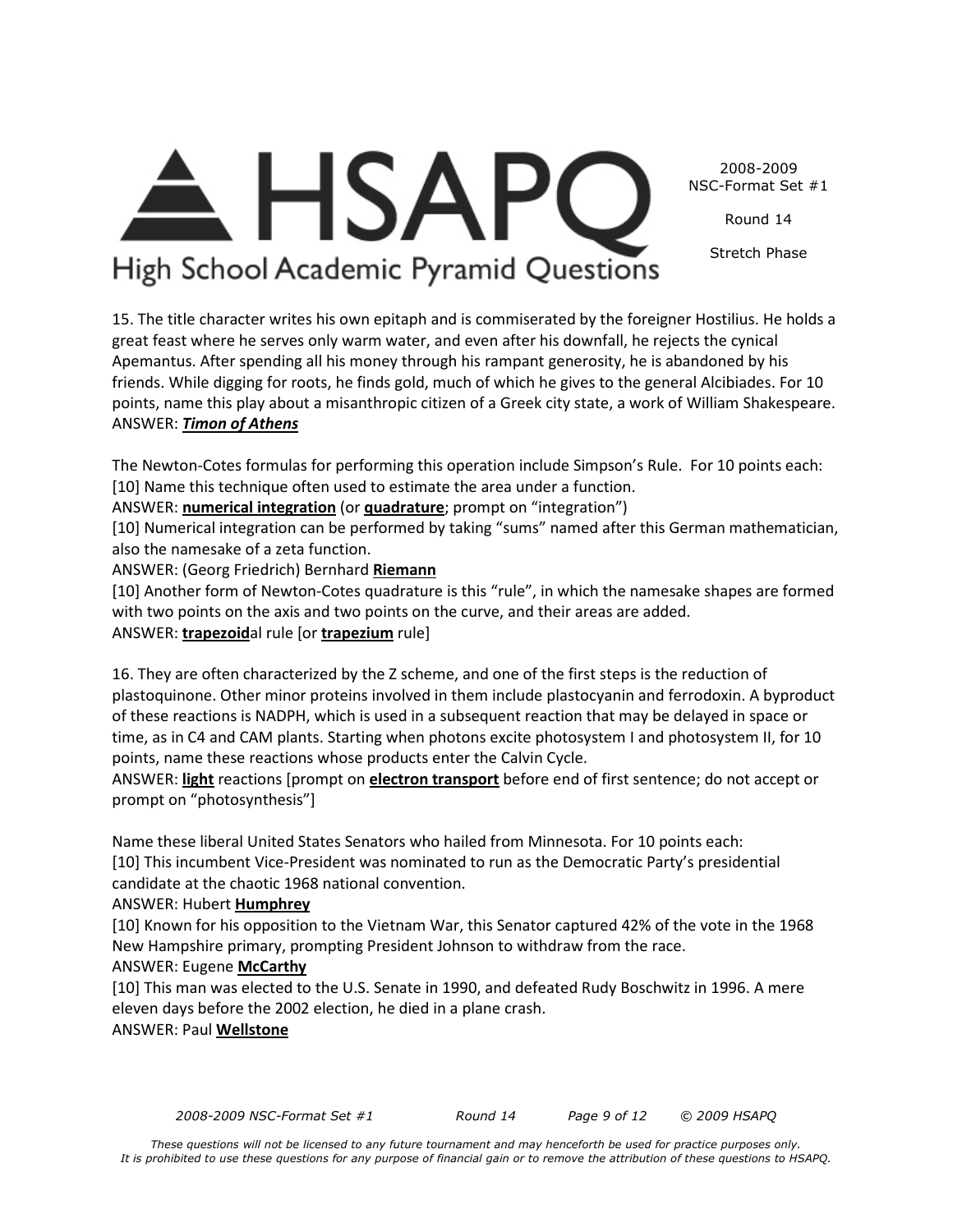2008-2009 NSC-Format Set #1

Round 14

Stretch Phase

# **HSAPC** High School Academic Pyramid Questions

15. The title character writes his own epitaph and is commiserated by the foreigner Hostilius. He holds a great feast where he serves only warm water, and even after his downfall, he rejects the cynical Apemantus. After spending all his money through his rampant generosity, he is abandoned by his friends. While digging for roots, he finds gold, much of which he gives to the general Alcibiades. For 10 points, name this play about a misanthropic citizen of a Greek city state, a work of William Shakespeare. ANSWER: *Timon of Athens*

The Newton-Cotes formulas for performing this operation include Simpson's Rule. For 10 points each: [10] Name this technique often used to estimate the area under a function.

ANSWER: **numerical integration** (or **quadrature**; prompt on "integration")

[10] Numerical integration can be performed by taking "sums" named after this German mathematician, also the namesake of a zeta function.

ANSWER: (Georg Friedrich) Bernhard **Riemann**

[10] Another form of Newton-Cotes quadrature is this "rule", in which the namesake shapes are formed with two points on the axis and two points on the curve, and their areas are added. ANSWER: **trapezoid**al rule [or **trapezium** rule]

16. They are often characterized by the Z scheme, and one of the first steps is the reduction of plastoquinone. Other minor proteins involved in them include plastocyanin and ferrodoxin. A byproduct of these reactions is NADPH, which is used in a subsequent reaction that may be delayed in space or time, as in C4 and CAM plants. Starting when photons excite photosystem I and photosystem II, for 10 points, name these reactions whose products enter the Calvin Cycle.

ANSWER: **light** reactions [prompt on **electron transport** before end of first sentence; do not accept or prompt on "photosynthesis"]

Name these liberal United States Senators who hailed from Minnesota. For 10 points each: [10] This incumbent Vice-President was nominated to run as the Democratic Party's presidential candidate at the chaotic 1968 national convention.

## ANSWER: Hubert **Humphrey**

[10] Known for his opposition to the Vietnam War, this Senator captured 42% of the vote in the 1968 New Hampshire primary, prompting President Johnson to withdraw from the race.

## ANSWER: Eugene **McCarthy**

[10] This man was elected to the U.S. Senate in 1990, and defeated Rudy Boschwitz in 1996. A mere eleven days before the 2002 election, he died in a plane crash.

ANSWER: Paul **Wellstone**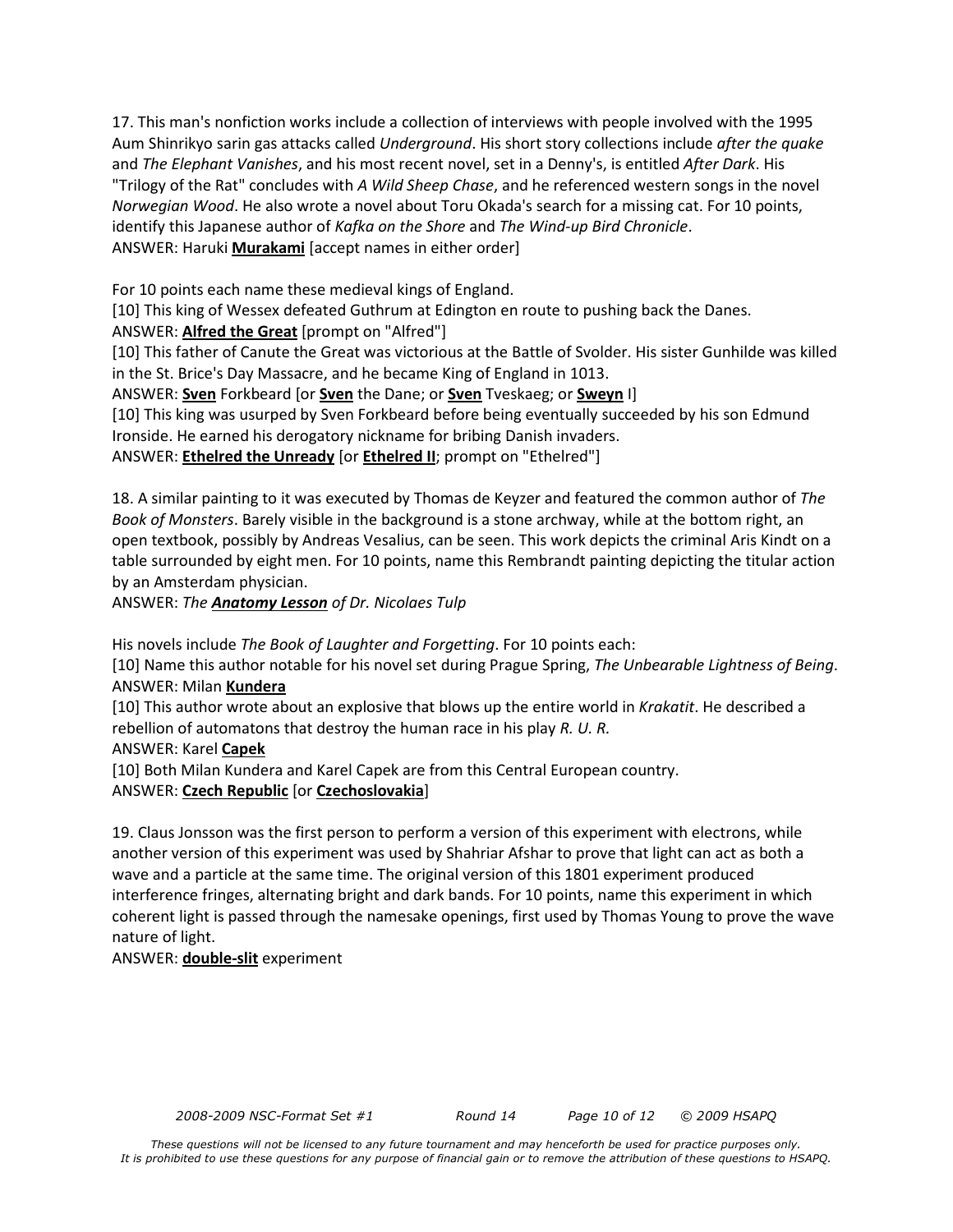17. This man's nonfiction works include a collection of interviews with people involved with the 1995 Aum Shinrikyo sarin gas attacks called *Underground*. His short story collections include *after the quake* and *The Elephant Vanishes*, and his most recent novel, set in a Denny's, is entitled *After Dark*. His "Trilogy of the Rat" concludes with *A Wild Sheep Chase*, and he referenced western songs in the novel *Norwegian Wood*. He also wrote a novel about Toru Okada's search for a missing cat. For 10 points, identify this Japanese author of *Kafka on the Shore* and *The Wind-up Bird Chronicle*. ANSWER: Haruki **Murakami** [accept names in either order]

For 10 points each name these medieval kings of England.

[10] This king of Wessex defeated Guthrum at Edington en route to pushing back the Danes.

ANSWER: **Alfred the Great** [prompt on "Alfred"]

[10] This father of Canute the Great was victorious at the Battle of Svolder. His sister Gunhilde was killed in the St. Brice's Day Massacre, and he became King of England in 1013.

ANSWER: **Sven** Forkbeard [or **Sven** the Dane; or **Sven** Tveskaeg; or **Sweyn** I]

[10] This king was usurped by Sven Forkbeard before being eventually succeeded by his son Edmund Ironside. He earned his derogatory nickname for bribing Danish invaders.

ANSWER: **Ethelred the Unready** [or **Ethelred II**; prompt on "Ethelred"]

18. A similar painting to it was executed by Thomas de Keyzer and featured the common author of *The Book of Monsters*. Barely visible in the background is a stone archway, while at the bottom right, an open textbook, possibly by Andreas Vesalius, can be seen. This work depicts the criminal Aris Kindt on a table surrounded by eight men. For 10 points, name this Rembrandt painting depicting the titular action by an Amsterdam physician.

ANSWER: *The Anatomy Lesson of Dr. Nicolaes Tulp* 

His novels include *The Book of Laughter and Forgetting*. For 10 points each:

[10] Name this author notable for his novel set during Prague Spring, *The Unbearable Lightness of Being*. ANSWER: Milan **Kundera**

[10] This author wrote about an explosive that blows up the entire world in *Krakatit*. He described a rebellion of automatons that destroy the human race in his play *R. U. R.*

ANSWER: Karel **Capek**

[10] Both Milan Kundera and Karel Capek are from this Central European country.

### ANSWER: **Czech Republic** [or **Czechoslovakia**]

19. Claus Jonsson was the first person to perform a version of this experiment with electrons, while another version of this experiment was used by Shahriar Afshar to prove that light can act as both a wave and a particle at the same time. The original version of this 1801 experiment produced interference fringes, alternating bright and dark bands. For 10 points, name this experiment in which coherent light is passed through the namesake openings, first used by Thomas Young to prove the wave nature of light.

ANSWER: **double-slit** experiment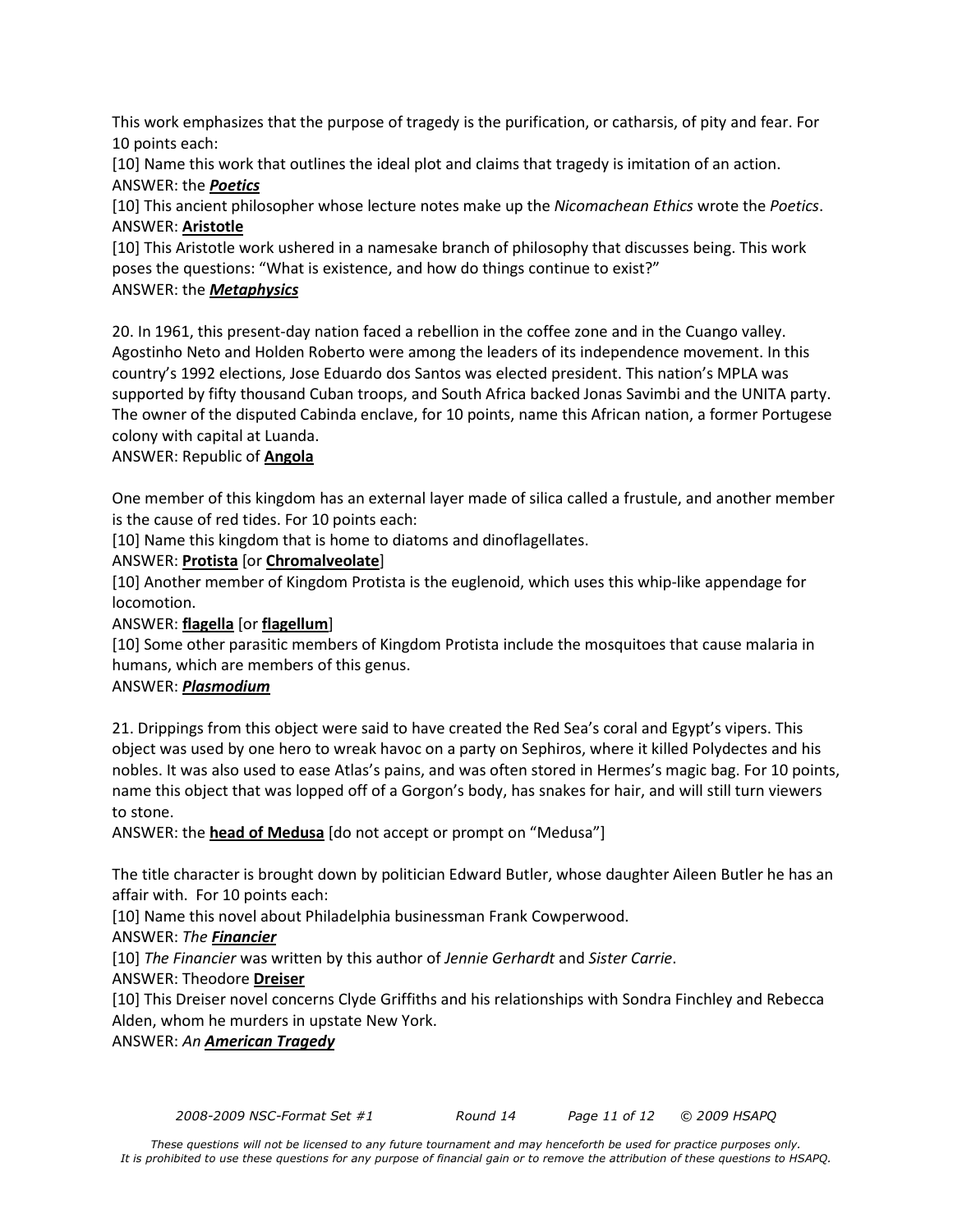This work emphasizes that the purpose of tragedy is the purification, or catharsis, of pity and fear. For 10 points each:

[10] Name this work that outlines the ideal plot and claims that tragedy is imitation of an action. ANSWER: the *Poetics*

[10] This ancient philosopher whose lecture notes make up the *Nicomachean Ethics* wrote the *Poetics*. ANSWER: **Aristotle**

[10] This Aristotle work ushered in a namesake branch of philosophy that discusses being. This work poses the questions: "What is existence, and how do things continue to exist?"

## ANSWER: the *Metaphysics*

20. In 1961, this present-day nation faced a rebellion in the coffee zone and in the Cuango valley. Agostinho Neto and Holden Roberto were among the leaders of its independence movement. In this country's 1992 elections, Jose Eduardo dos Santos was elected president. This nation's MPLA was supported by fifty thousand Cuban troops, and South Africa backed Jonas Savimbi and the UNITA party. The owner of the disputed Cabinda enclave, for 10 points, name this African nation, a former Portugese colony with capital at Luanda.

### ANSWER: Republic of **Angola**

One member of this kingdom has an external layer made of silica called a frustule, and another member is the cause of red tides. For 10 points each:

[10] Name this kingdom that is home to diatoms and dinoflagellates.

### ANSWER: **Protista** [or **Chromalveolate**]

[10] Another member of Kingdom Protista is the euglenoid, which uses this whip-like appendage for locomotion.

#### ANSWER: **flagella** [or **flagellum**]

[10] Some other parasitic members of Kingdom Protista include the mosquitoes that cause malaria in humans, which are members of this genus.

### ANSWER: *Plasmodium*

21. Drippings from this object were said to have created the Red Sea's coral and Egypt's vipers. This object was used by one hero to wreak havoc on a party on Sephiros, where it killed Polydectes and his nobles. It was also used to ease Atlas's pains, and was often stored in Hermes's magic bag. For 10 points, name this object that was lopped off of a Gorgon's body, has snakes for hair, and will still turn viewers to stone.

ANSWER: the **head of Medusa** [do not accept or prompt on "Medusa"]

The title character is brought down by politician Edward Butler, whose daughter Aileen Butler he has an affair with. For 10 points each:

[10] Name this novel about Philadelphia businessman Frank Cowperwood.

### ANSWER: *The Financier*

[10] *The Financier* was written by this author of *Jennie Gerhardt* and *Sister Carrie*.

### ANSWER: Theodore **Dreiser**

[10] This Dreiser novel concerns Clyde Griffiths and his relationships with Sondra Finchley and Rebecca Alden, whom he murders in upstate New York.

### ANSWER: *An American Tragedy*